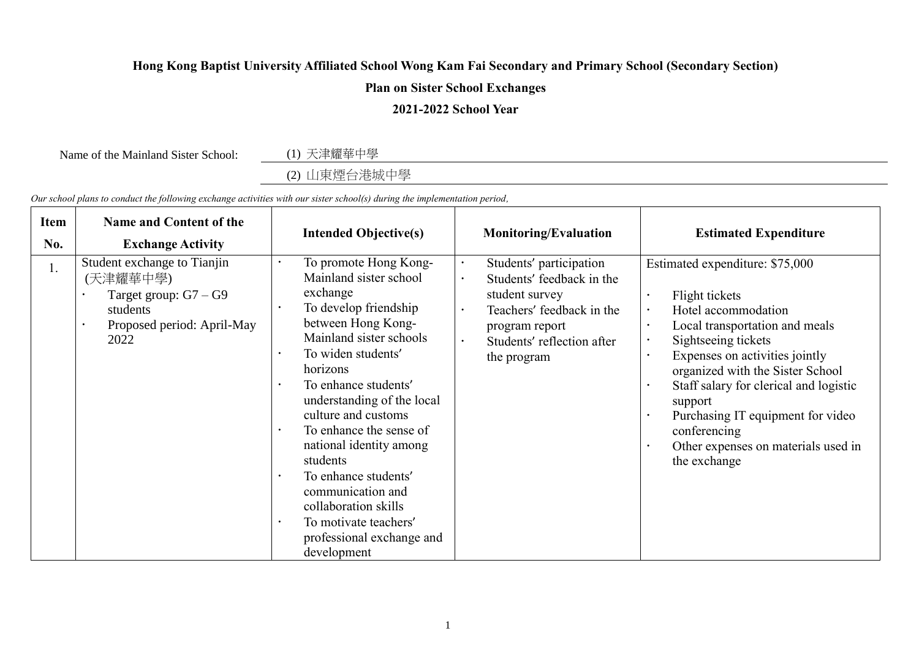## **Hong Kong Baptist University Affiliated School Wong Kam Fai Secondary and Primary School (Secondary Section)**

## **Plan on Sister School Exchanges**

## **2021-2022 School Year**

Name of the Mainland Sister School: (1) 天津耀華中學

(2) 山東煙台港城中學

*Our school plans to conduct the following exchange activities with our sister school(s) during the implementation period,*

| <b>Item</b><br>No. | <b>Name and Content of the</b><br><b>Exchange Activity</b>                                                           | <b>Intended Objective(s)</b>                                                                                                                                                                                                                                                                                                                                                                                                                                                                                         | <b>Monitoring/Evaluation</b>                                                                                                                                       | <b>Estimated Expenditure</b>                                                                                                                                                                                                                                                                                                                                                                                                                                                     |
|--------------------|----------------------------------------------------------------------------------------------------------------------|----------------------------------------------------------------------------------------------------------------------------------------------------------------------------------------------------------------------------------------------------------------------------------------------------------------------------------------------------------------------------------------------------------------------------------------------------------------------------------------------------------------------|--------------------------------------------------------------------------------------------------------------------------------------------------------------------|----------------------------------------------------------------------------------------------------------------------------------------------------------------------------------------------------------------------------------------------------------------------------------------------------------------------------------------------------------------------------------------------------------------------------------------------------------------------------------|
| 1.                 | Student exchange to Tianjin<br>(天津耀華中學)<br>Target group: $G7 - G9$<br>students<br>Proposed period: April-May<br>2022 | To promote Hong Kong-<br>Mainland sister school<br>exchange<br>To develop friendship<br>between Hong Kong-<br>Mainland sister schools<br>To widen students'<br>$\bullet$<br>horizons<br>To enhance students'<br>$\bullet$<br>understanding of the local<br>culture and customs<br>To enhance the sense of<br>national identity among<br>students<br>To enhance students'<br>$\bullet$<br>communication and<br>collaboration skills<br>To motivate teachers'<br>$\bullet$<br>professional exchange and<br>development | Students' participation<br>Students' feedback in the<br>student survey<br>Teachers' feedback in the<br>program report<br>Students' reflection after<br>the program | Estimated expenditure: \$75,000<br>Flight tickets<br>$\bullet$<br>Hotel accommodation<br>$\bullet$<br>Local transportation and meals<br>$\bullet$<br>Sightseeing tickets<br>$\bullet$<br>Expenses on activities jointly<br>$\bullet$<br>organized with the Sister School<br>Staff salary for clerical and logistic<br>$\bullet$<br>support<br>Purchasing IT equipment for video<br>$\bullet$<br>conferencing<br>Other expenses on materials used in<br>$\bullet$<br>the exchange |